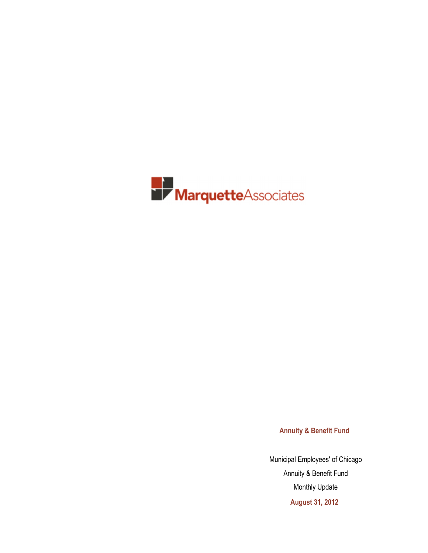

**Annuity & Benefit Fund**

Municipal Employees' of Chicago Annuity & Benefit Fund Monthly Update **August 31, 2012**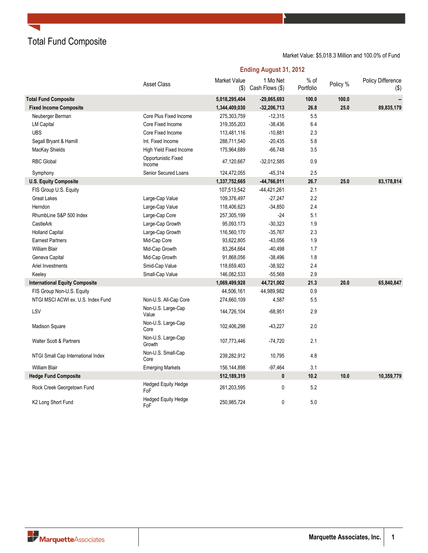Total Fund Composite

### Market Value: \$5,018.3 Million and 100.0% of Fund

**Ending August 31, 2012**

|                                       | <b>Asset Class</b>                | Market Value<br>$($ \$) | 1 Mo Net<br>Cash Flows (\$) | $%$ of<br>Portfolio | Policy % | Policy Difference<br>$($ \$) |
|---------------------------------------|-----------------------------------|-------------------------|-----------------------------|---------------------|----------|------------------------------|
| <b>Total Fund Composite</b>           |                                   | 5,018,295,404           | $-29,865,693$               | 100.0               | 100.0    |                              |
| <b>Fixed Income Composite</b>         |                                   | 1,344,409,030           | $-32,206,713$               | 26.8                | 25.0     | 89,835,179                   |
| Neuberger Berman                      | Core Plus Fixed Income            | 275,303,759             | $-12,315$                   | 5.5                 |          |                              |
| <b>LM Capital</b>                     | Core Fixed Income                 | 319,355,203             | $-38,436$                   | 6.4                 |          |                              |
| <b>UBS</b>                            | Core Fixed Income                 | 113,481,116             | $-10,881$                   | 2.3                 |          |                              |
| Segall Bryant & Hamill                | Int. Fixed Income                 | 288,711,540             | $-20,435$                   | 5.8                 |          |                              |
| MacKay Shields                        | High Yield Fixed Income           | 175,964,689             | $-66,748$                   | 3.5                 |          |                              |
| <b>RBC Global</b>                     | Opportunistic Fixed<br>Income     | 47,120,667              | $-32,012,585$               | 0.9                 |          |                              |
| Symphony                              | Senior Secured Loans              | 124,472,055             | -45,314                     | 2.5                 |          |                              |
| <b>U.S. Equity Composite</b>          |                                   | 1,337,752,665           | $-44,766,011$               | 26.7                | 25.0     | 83,178,814                   |
| FIS Group U.S. Equity                 |                                   | 107,513,542             | $-44,421,261$               | 2.1                 |          |                              |
| <b>Great Lakes</b>                    | Large-Cap Value                   | 109,376,497             | $-27,247$                   | 2.2                 |          |                              |
| Herndon                               | Large-Cap Value                   | 118,406,623             | $-34,850$                   | 2.4                 |          |                              |
| RhumbLine S&P 500 Index               | Large-Cap Core                    | 257,305,199             | $-24$                       | 5.1                 |          |                              |
| CastleArk                             | Large-Cap Growth                  | 95,093,173              | $-30,323$                   | 1.9                 |          |                              |
| <b>Holland Capital</b>                | Large-Cap Growth                  | 116,560,170             | $-35,767$                   | 2.3                 |          |                              |
| <b>Earnest Partners</b>               | Mid-Cap Core                      | 93,622,805              | $-43,056$                   | 1.9                 |          |                              |
| <b>William Blair</b>                  | Mid-Cap Growth                    | 83,264,664              | $-40,498$                   | 1.7                 |          |                              |
| Geneva Capital                        | Mid-Cap Growth                    | 91,868,056              | $-38,496$                   | 1.8                 |          |                              |
| Ariel Investments                     | Smid-Cap Value                    | 118,659,403             | $-38,922$                   | 2.4                 |          |                              |
| Keeley                                | Small-Cap Value                   | 146,082,533             | $-55,568$                   | 2.9                 |          |                              |
| <b>International Equity Composite</b> |                                   | 1,069,499,928           | 44,721,002                  | 21.3                | 20.0     | 65,840,847                   |
| FIS Group Non-U.S. Equity             |                                   | 44,506,161              | 44,989,982                  | 0.9                 |          |                              |
| NTGI MSCI ACWI ex. U.S. Index Fund    | Non-U.S. All-Cap Core             | 274,660,109             | 4,587                       | 5.5                 |          |                              |
| LSV                                   | Non-U.S. Large-Cap<br>Value       | 144,726,104             | $-68,951$                   | 2.9                 |          |                              |
| Madison Square                        | Non-U.S. Large-Cap<br>Core        | 102,406,298             | $-43,227$                   | 2.0                 |          |                              |
| <b>Walter Scott &amp; Partners</b>    | Non-U.S. Large-Cap<br>Growth      | 107,773,446             | $-74,720$                   | 2.1                 |          |                              |
| NTGI Small Cap International Index    | Non-U.S. Small-Cap<br>Core        | 239,282,912             | 10,795                      | 4.8                 |          |                              |
| <b>William Blair</b>                  | <b>Emerging Markets</b>           | 156,144,898             | $-97,464$                   | 3.1                 |          |                              |
| <b>Hedge Fund Composite</b>           |                                   | 512,189,319             | 0                           | 10.2                | 10.0     | 10,359,779                   |
| Rock Creek Georgetown Fund            | <b>Hedged Equity Hedge</b><br>FoF | 261,203,595             | 0                           | 5.2                 |          |                              |
| K2 Long Short Fund                    | <b>Hedged Equity Hedge</b><br>FoF | 250,985,724             | 0                           | 5.0                 |          |                              |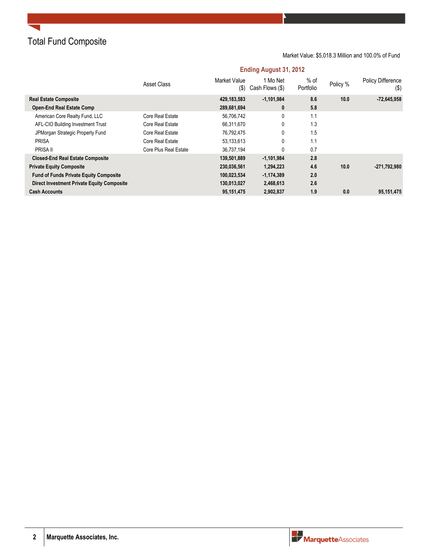Total Fund Composite

### Market Value: \$5,018.3 Million and 100.0% of Fund

## **Ending August 31, 2012**

|                                                   | <b>Asset Class</b>    | Market Value<br>$(\$)$ | 1 Mo Net<br>Cash Flows (\$) | $%$ of<br>Portfolio | Policy % | <b>Policy Difference</b><br>$($ \$) |
|---------------------------------------------------|-----------------------|------------------------|-----------------------------|---------------------|----------|-------------------------------------|
| <b>Real Estate Composite</b>                      |                       | 429,183,583            | $-1.101.984$                | 8.6                 | 10.0     | $-72,645,958$                       |
| <b>Open-End Real Estate Comp</b>                  |                       | 289,681,694            | 0                           | 5.8                 |          |                                     |
| American Core Realty Fund, LLC                    | Core Real Estate      | 56,706,742             | 0                           | 1.1                 |          |                                     |
| AFL-CIO Building Investment Trust                 | Core Real Estate      | 66.311.670             | 0                           | 1.3                 |          |                                     |
| JPMorgan Strategic Property Fund                  | Core Real Estate      | 76.792.475             | 0                           | 1.5                 |          |                                     |
| <b>PRISA</b>                                      | Core Real Estate      | 53,133,613             | 0                           | 1.1                 |          |                                     |
| PRISA II                                          | Core Plus Real Estate | 36,737,194             | 0                           | 0.7                 |          |                                     |
| <b>Closed-End Real Estate Composite</b>           |                       | 139,501,889            | $-1,101,984$                | 2.8                 |          |                                     |
| <b>Private Equity Composite</b>                   |                       | 230,036,561            | 1,294,223                   | 4.6                 | 10.0     | $-271,792,980$                      |
| <b>Fund of Funds Private Equity Composite</b>     |                       | 100.023.534            | $-1.174.389$                | 2.0                 |          |                                     |
| <b>Direct Investment Private Equity Composite</b> |                       | 130,013,027            | 2,468,613                   | 2.6                 |          |                                     |
| <b>Cash Accounts</b>                              |                       | 95,151,475             | 2,902,837                   | 1.9                 | 0.0      | 95,151,475                          |

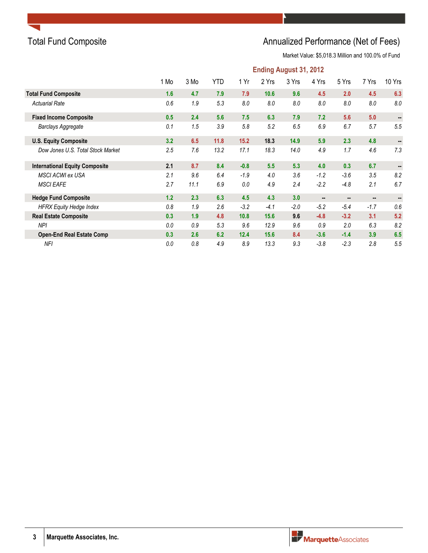

# Total Fund Composite **Annualized Performance (Net of Fees)** Annualized Performance (Net of Fees)

|                                       | <b>Ending August 31, 2012</b> |      |            |        |        |        |        |                |                |        |  |
|---------------------------------------|-------------------------------|------|------------|--------|--------|--------|--------|----------------|----------------|--------|--|
|                                       | 1 Mo                          | 3 Mo | <b>YTD</b> | 1 Yr   | 2 Yrs  | 3 Yrs  | 4 Yrs  | 5 Yrs          | 7 Yrs          | 10 Yrs |  |
| <b>Total Fund Composite</b>           | 1.6                           | 4.7  | 7.9        | 7.9    | 10.6   | 9.6    | 4.5    | 2.0            | 4.5            | 6.3    |  |
| <b>Actuarial Rate</b>                 | 0.6                           | 1.9  | 5.3        | 8.0    | 8.0    | 8.0    | 8.0    | 8.0            | 8.0            | 8.0    |  |
| <b>Fixed Income Composite</b>         | 0.5                           | 2.4  | 5.6        | 7.5    | 6.3    | 7.9    | 7.2    | 5.6            | 5.0            |        |  |
| Barclays Aggregate                    | 0.1                           | 1.5  | 3.9        | 5.8    | 5.2    | 6.5    | 6.9    | 6.7            | 5.7            | 5.5    |  |
| <b>U.S. Equity Composite</b>          | 3.2                           | 6.5  | 11.8       | 15.2   | 18.3   | 14.9   | 5.9    | 2.3            | 4.8            |        |  |
| Dow Jones U.S. Total Stock Market     | 2.5                           | 7.6  | 13.2       | 17.1   | 18.3   | 14.0   | 4.9    | 1.7            | 4.6            | 7.3    |  |
| <b>International Equity Composite</b> | 2.1                           | 8.7  | 8.4        | $-0.8$ | 5.5    | 5.3    | 4.0    | 0.3            | 6.7            |        |  |
| <b>MSCI ACWI ex USA</b>               | 2.1                           | 9.6  | 6.4        | $-1.9$ | 4.0    | 3.6    | $-1.2$ | $-3.6$         | 3.5            | 8.2    |  |
| <b>MSCI EAFE</b>                      | 2.7                           | 11.1 | 6.9        | 0.0    | 4.9    | 2.4    | $-2.2$ | $-4.8$         | 2.1            | 6.7    |  |
| <b>Hedge Fund Composite</b>           | 1.2                           | 2.3  | 6.3        | 4.5    | 4.3    | 3.0    | $\sim$ | $\blacksquare$ | $\blacksquare$ |        |  |
| <b>HFRX Equity Hedge Index</b>        | 0.8                           | 1.9  | 2.6        | $-3.2$ | $-4.1$ | $-2.0$ | $-5.2$ | $-5.4$         | $-1.7$         | 0.6    |  |
| <b>Real Estate Composite</b>          | 0.3                           | 1.9  | 4.8        | 10.8   | 15.6   | 9.6    | $-4.8$ | $-3.2$         | 3.1            | 5.2    |  |
| <b>NPI</b>                            | 0.0                           | 0.9  | 5.3        | 9.6    | 12.9   | 9.6    | 0.9    | 2.0            | 6.3            | 8.2    |  |
| <b>Open-End Real Estate Comp</b>      | 0.3                           | 2.6  | 6.2        | 12.4   | 15.6   | 8.4    | $-3.6$ | $-1.4$         | 3.9            | 6.5    |  |
| <b>NFI</b>                            | 0.0                           | 0.8  | 4.9        | 8.9    | 13.3   | 9.3    | $-3.8$ | $-2.3$         | 2.8            | 5.5    |  |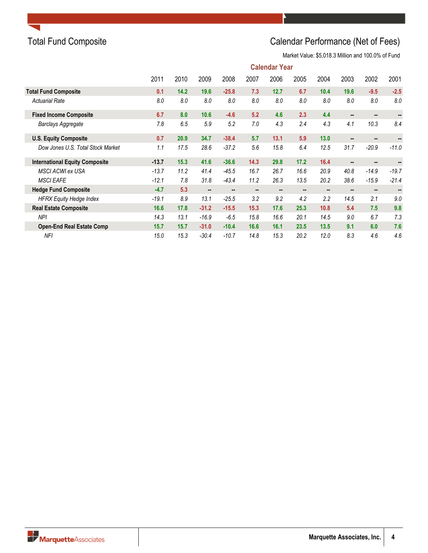# Total Fund Composite **Calendar Performance (Net of Fees)**

|                                       | <b>Calendar Year</b> |      |         |                |      |                |      |      |                |                |         |
|---------------------------------------|----------------------|------|---------|----------------|------|----------------|------|------|----------------|----------------|---------|
|                                       | 2011                 | 2010 | 2009    | 2008           | 2007 | 2006           | 2005 | 2004 | 2003           | 2002           | 2001    |
| <b>Total Fund Composite</b>           | 0.1                  | 14.2 | 19.6    | $-25.8$        | 7.3  | 12.7           | 6.7  | 10.4 | 19.6           | $-9.5$         | $-2.5$  |
| <b>Actuarial Rate</b>                 | 8.0                  | 8.0  | 8.0     | 8.0            | 8.0  | 8.0            | 8.0  | 8.0  | 8.0            | 8.0            | 8.0     |
| <b>Fixed Income Composite</b>         | 6.7                  | 8.0  | 10.6    | $-4.6$         | 5.2  | 4.6            | 2.3  | 4.4  |                |                |         |
| Barclays Aggregate                    | 7.8                  | 6.5  | 5.9     | 5.2            | 7.0  | 4.3            | 2.4  | 4.3  | 4.1            | 10.3           | 8.4     |
| <b>U.S. Equity Composite</b>          | 0.7                  | 20.9 | 34.7    | $-38.4$        | 5.7  | 13.1           | 5.9  | 13.0 | $\sim$         | $\sim$         |         |
| Dow Jones U.S. Total Stock Market     | 1.1                  | 17.5 | 28.6    | $-37.2$        | 5.6  | 15.8           | 6.4  | 12.5 | 31.7           | $-20.9$        | $-11.0$ |
| <b>International Equity Composite</b> | $-13.7$              | 15.3 | 41.6    | $-36.6$        | 14.3 | 29.8           | 17.2 | 16.4 |                | $\sim$         |         |
| MSCI ACWI ex USA                      | $-13.7$              | 11.2 | 41.4    | $-45.5$        | 16.7 | 26.7           | 16.6 | 20.9 | 40.8           | $-14.9$        | $-19.7$ |
| <b>MSCI EAFE</b>                      | $-12.1$              | 7.8  | 31.8    | $-43.4$        | 11.2 | 26.3           | 13.5 | 20.2 | 38.6           | $-15.9$        | $-21.4$ |
| <b>Hedge Fund Composite</b>           | $-4.7$               | 5.3  |         | $\blacksquare$ |      | $\blacksquare$ |      | н.   | $\blacksquare$ | $\blacksquare$ |         |
| <b>HFRX Equity Hedge Index</b>        | $-19.1$              | 8.9  | 13.1    | $-25.5$        | 3.2  | 9.2            | 4.2  | 2.2  | 14.5           | 2.1            | 9.0     |
| <b>Real Estate Composite</b>          | 16.6                 | 17.8 | $-31.2$ | $-15.5$        | 15.3 | 17.6           | 25.3 | 10.8 | 5.4            | 7.5            | 9.8     |
| <b>NPI</b>                            | 14.3                 | 13.1 | $-16.9$ | $-6.5$         | 15.8 | 16.6           | 20.1 | 14.5 | 9.0            | 6.7            | 7.3     |
| <b>Open-End Real Estate Comp</b>      | 15.7                 | 15.7 | $-31.0$ | $-10.4$        | 16.6 | 16.1           | 23.5 | 13.5 | 9.1            | 6.0            | 7.6     |
| NFI                                   | 15.0                 | 15.3 | $-30.4$ | $-10.7$        | 14.8 | 15.3           | 20.2 | 12.0 | 8.3            | 4.6            | 4.6     |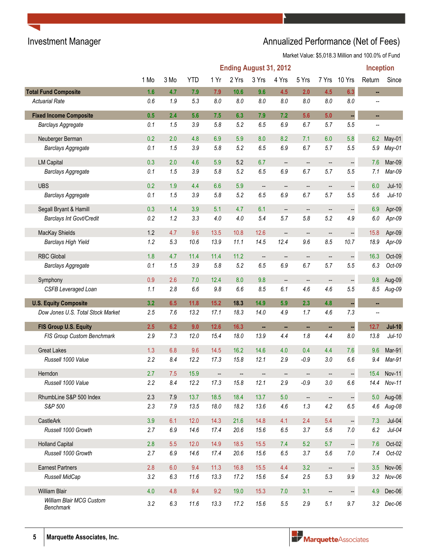# Investment Manager **Annualized Performance (Net of Fees)**

|                                       | Inception<br><b>Ending August 31, 2012</b> |      |            |                          |       |                          |                          |                          |                          |                          |        |               |
|---------------------------------------|--------------------------------------------|------|------------|--------------------------|-------|--------------------------|--------------------------|--------------------------|--------------------------|--------------------------|--------|---------------|
|                                       | 1 Mo                                       | 3 Mo | <b>YTD</b> | 1 Yr                     | 2 Yrs | 3 Yrs                    | 4 Yrs                    | 5 Yrs                    | 7 Yrs                    | 10 Yrs                   | Return | Since         |
| <b>Total Fund Composite</b>           | 1.6                                        | 4.7  | 7.9        | 7.9                      | 10.6  | 9.6                      | 4.5                      | 2.0                      | 4.5                      | 6.3                      | ä,     |               |
| <b>Actuarial Rate</b>                 | 0.6                                        | 1.9  | 5.3        | $8.0\,$                  | 8.0   | 8.0                      | 8.0                      | 8.0                      | $8.0\,$                  | $8.0\,$                  |        |               |
| <b>Fixed Income Composite</b>         | 0.5                                        | 2.4  | 5.6        | 7.5                      | 6.3   | 7.9                      | 7.2                      | 5.6                      | 5.0                      | $\blacksquare$           | ۰.     |               |
| <b>Barclays Aggregate</b>             | 0.1                                        | 1.5  | 3.9        | 5.8                      | 5.2   | 6.5                      | 6.9                      | 6.7                      | 5.7                      | 5.5                      |        |               |
| Neuberger Berman                      | 0.2                                        | 2.0  | 4.8        | 6.9                      | 5.9   | 8.0                      | 8.2                      | 7.1                      | 6.0                      | 5.8                      | 6.2    | May-01        |
| Barclays Aggregate                    | 0.1                                        | 1.5  | 3.9        | 5.8                      | 5.2   | 6.5                      | 6.9                      | 6.7                      | 5.7                      | 5.5                      | 5.9    | May-01        |
| <b>LM Capital</b>                     | 0.3                                        | 2.0  | 4.6        | 5.9                      | 5.2   | 6.7                      | $\overline{\phantom{m}}$ | $\overline{\phantom{a}}$ | --                       | $\Box$                   | 7.6    | Mar-09        |
| <b>Barclays Aggregate</b>             | 0.1                                        | 1.5  | 3.9        | 5.8                      | 5.2   | 6.5                      | 6.9                      | 6.7                      | 5.7                      | 5.5                      | 7.1    | Mar-09        |
| <b>UBS</b>                            | 0.2                                        | 1.9  | 4.4        | 6.6                      | 5.9   | $\overline{\phantom{a}}$ | --                       | --                       | $\qquad \qquad \qquad -$ | $\Box$                   | 6.0    | $Jul-10$      |
| <b>Barclays Aggregate</b>             | 0.1                                        | 1.5  | 3.9        | 5.8                      | 5.2   | 6.5                      | 6.9                      | 6.7                      | 5.7                      | 5.5                      | 5.6    | $Jul-10$      |
| Segall Bryant & Hamill                | 0.3                                        | 1.4  | 3.9        | 5.1                      | 4.7   | 6.1                      | $\overline{\phantom{a}}$ | $\qquad \qquad -$        | --                       | $\qquad \qquad -$        | 6.9    | Apr-09        |
| Barclays Int Govt/Credit              | 0.2                                        | 1.2  | 3.3        | 4.0                      | 4.0   | 5.4                      | 5.7                      | 5.8                      | 5.2                      | 4.9                      | 6.0    | Apr-09        |
| MacKay Shields                        | 1.2                                        | 4.7  | 9.6        | 13.5                     | 10.8  | 12.6                     | $\overline{\phantom{a}}$ | --                       | --                       | $\overline{\phantom{a}}$ | 15.8   | Apr-09        |
| <b>Barclays High Yield</b>            | 1.2                                        | 5.3  | 10.6       | 13.9                     | 11.1  | 14.5                     | 12.4                     | 9.6                      | 8.5                      | 10.7                     | 18.9   | Apr-09        |
| <b>RBC Global</b>                     | 1.8                                        | 4.7  | 11.4       | 11.4                     | 11.2  | $\frac{1}{2}$            | --                       | --                       |                          | $\overline{\phantom{a}}$ | 16.3   | Oct-09        |
| <b>Barclays Aggregate</b>             | 0.1                                        | 1.5  | 3.9        | 5.8                      | 5.2   | 6.5                      | 6.9                      | 6.7                      | 5.7                      | 5.5                      | 6.3    | $Oct-09$      |
| Symphony                              | 0.9                                        | 2.6  | 7.0        | 12.4                     | 8.0   | 9.8                      | $\overline{\phantom{m}}$ | --                       | --                       | $\ddot{\phantom{1}}$     | 9.8    | Aug-09        |
| <b>CSFB Leveraged Loan</b>            | 1.1                                        | 2.8  | 6.6        | 9.8                      | 6.6   | 8.5                      | 6.1                      | 4.6                      | 4.6                      | 5.5                      | 8.5    | Aug-09        |
| <b>U.S. Equity Composite</b>          | 3.2                                        | 6.5  | 11.8       | $15.2$                   | 18.3  | 14.9                     | 5.9                      | 2.3                      | 4.8                      | ä,                       | н,     |               |
| Dow Jones U.S. Total Stock Market     | 2.5                                        | 7.6  | 13.2       | 17.1                     | 18.3  | 14.0                     | 4.9                      | 1.7                      | 4.6                      | 7.3                      | --     |               |
| FIS Group U.S. Equity                 | 2.5                                        | 6.2  | 9.0        | $12.6$                   | 16.3  | m,                       | н,                       | н,                       | ш,                       | $\blacksquare$           | 12.7   | <b>Jul-10</b> |
| FIS Group Custom Benchmark            | 2.9                                        | 7.3  | 12.0       | 15.4                     | 18.0  | 13.9                     | 4.4                      | 1.8                      | 4.4                      | $8.0\,$                  | 13.8   | $Jul-10$      |
| <b>Great Lakes</b>                    | 1.3                                        | 6.8  | 9.6        | 14.5                     | 16.2  | 14.6                     | 4.0                      | 0.4                      | 4.4                      | 7.6                      | 9.6    | Mar-91        |
| Russell 1000 Value                    | 2.2                                        | 8.4  | 12.2       | 17.3                     | 15.8  | 12.1                     | 2.9                      | $-0.9$                   | 3.0                      | 6.6                      | 9.4    | Mar-91        |
| Herndon                               | 2.7                                        | 7.5  | 15.9       | $\overline{\phantom{a}}$ |       |                          |                          |                          |                          |                          | 15.4   | Nov-11        |
| Russell 1000 Value                    | 2.2                                        | 8.4  | 12.2       | 17.3                     | 15.8  | 12.1                     | 2.9                      | $-0.9$                   | $3.0\,$                  | 6.6                      | 14.4   | Nov-11        |
| RhumbLine S&P 500 Index               | 2.3                                        | 7.9  | 13.7       | 18.5                     | 18.4  | 13.7                     | 5.0                      | $\overline{\phantom{a}}$ | $\qquad \qquad \cdots$   | $\Box$                   | 5.0    | Aug-08        |
| S&P 500                               | 2.3                                        | 7.9  | 13.5       | 18.0                     | 18.2  | 13.6                     | 4.6                      | 1.3                      | 4.2                      | 6.5                      |        | 4.6 Aug-08    |
| CastleArk                             | 3.9                                        | 6.1  | 12.0       | 14.3                     | 21.6  | 14.8                     | 4.1                      | 2.4                      | 5.4                      | $\Box$                   | 7.3    | $Jul-04$      |
| Russell 1000 Growth                   | 2.7                                        | 6.9  | 14.6       | 17.4                     | 20.6  | 15.6                     | 6.5                      | 3.7                      | 5.6                      | $7.0\,$                  | 6.2    | $Jul-04$      |
| <b>Holland Capital</b>                | 2.8                                        | 5.5  | 12.0       | 14.9                     | 18.5  | 15.5                     | 7.4                      | 5.2                      | 5.7                      | $\Box$                   | 7.6    | Oct-02        |
| Russell 1000 Growth                   | 2.7                                        | 6.9  | 14.6       | 17.4                     | 20.6  | 15.6                     | 6.5                      | 3.7                      | 5.6                      | 7.0                      | 7.4    | $Oct-02$      |
| <b>Earnest Partners</b>               | 2.8                                        | 6.0  | 9.4        | 11.3                     | 16.8  | 15.5                     | 4.4                      | 3.2                      | $\qquad \qquad \cdots$   | $\Box$                   | 3.5    | Nov-06        |
| Russell MidCap                        | 3.2                                        | 6.3  | 11.6       | 13.3                     | 17.2  | 15.6                     | 5.4                      | 2.5                      | 5.3                      | 9.9                      | 3.2    | Nov-06        |
| William Blair                         | 4.0                                        | 4.8  | 9.4        | 9.2                      | 19.0  | 15.3                     | 7.0                      | 3.1                      | --                       | $\Box$                   | 4.9    | Dec-06        |
| William Blair MCG Custom<br>Benchmark | 3.2                                        | 6.3  | 11.6       | 13.3                     | 17.2  | 15.6                     | 5.5                      | 2.9                      | 5.1                      | 9.7                      |        | 3.2 Dec-06    |

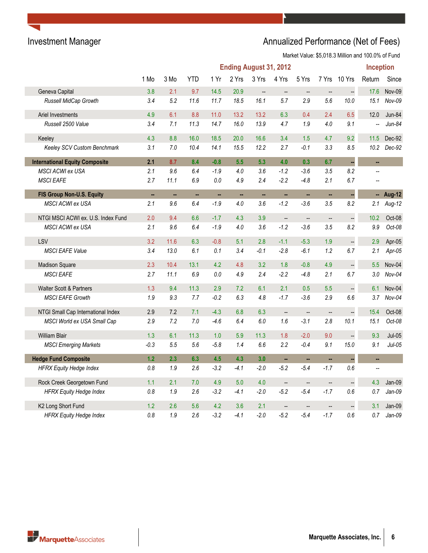# Investment Manager **Annualized Performance (Net of Fees)** Annualized Performance (Net of Fees)

|                                       | <b>Ending August 31, 2012</b><br><b>Inception</b> |                          |            |         |        |                          |                          |                          |                          |                      |                          |               |
|---------------------------------------|---------------------------------------------------|--------------------------|------------|---------|--------|--------------------------|--------------------------|--------------------------|--------------------------|----------------------|--------------------------|---------------|
|                                       | 1 Mo                                              | 3 Mo                     | <b>YTD</b> | 1 Yr    | 2 Yrs  | 3 Yrs                    | 4 Yrs                    | 5 Yrs                    | 7 Yrs                    | 10 Yrs               | Return                   | Since         |
| Geneva Capital                        | 3.8                                               | 2.1                      | 9.7        | 14.5    | 20.9   | $\overline{\phantom{a}}$ | $\qquad \qquad -$        | $\overline{\phantom{a}}$ | $\qquad \qquad -$        | --                   | 17.6                     | Nov-09        |
| Russell MidCap Growth                 | 3.4                                               | 5.2                      | 11.6       | 11.7    | 18.5   | 16.1                     | 5.7                      | 2.9                      | 5.6                      | 10.0                 | 15.1                     | Nov-09        |
| Ariel Investments                     | 4.9                                               | 6.1                      | 8.8        | 11.0    | 13.2   | 13.2                     | 6.3                      | 0.4                      | 2.4                      | 6.5                  | 12.0                     | Jun-84        |
| Russell 2500 Value                    | 3.4                                               | 7.1                      | 11.3       | 14.7    | 16.0   | 13.9                     | 4.7                      | 1.9                      | 4.0                      | 9.1                  |                          | $Jun-84$      |
| Keeley                                | 4.3                                               | 8.8                      | 16.0       | 18.5    | 20.0   | 16.6                     | 3.4                      | 1.5                      | 4.7                      | 9.2                  | 11.5                     | Dec-92        |
| Keeley SCV Custom Benchmark           | 3.1                                               | 7.0                      | 10.4       | 14.1    | 15.5   | 12.2                     | 2.7                      | $-0.1$                   | 3.3                      | 8.5                  | 10.2                     | Dec-92        |
| <b>International Equity Composite</b> | 2.1                                               | 8.7                      | 8.4        | $-0.8$  | 5.5    | 5.3                      | 4.0                      | 0.3                      | 6.7                      | u,                   | н,                       |               |
| MSCI ACWI ex USA                      | 2.1                                               | 9.6                      | 6.4        | $-1.9$  | 4.0    | 3.6                      | $-1.2$                   | $-3.6$                   | 3.5                      | 8.2                  |                          |               |
| <b>MSCI EAFE</b>                      | 2.7                                               | 11.1                     | 6.9        | 0.0     | 4.9    | 2.4                      | $-2.2$                   | $-4.8$                   | 2.1                      | 6.7                  |                          |               |
| FIS Group Non-U.S. Equity             | u.                                                | $\overline{\phantom{a}}$ | н,         | н,      | н,     | ш,                       | ä,                       | ш,                       | ä,                       | L,                   | н.                       | <b>Aug-12</b> |
| <b>MSCI ACWI ex USA</b>               | 2.1                                               | 9.6                      | 6.4        | $-1.9$  | 4.0    | 3.6                      | $-1.2$                   | $-3.6$                   | 3.5                      | 8.2                  | 2.1                      | Aug-12        |
| NTGI MSCI ACWI ex. U.S. Index Fund    | 2.0                                               | 9.4                      | 6.6        | $-1.7$  | 4.3    | 3.9                      | $\overline{\phantom{a}}$ | $\overline{\phantom{a}}$ | $\overline{\phantom{a}}$ | $\ddot{\phantom{0}}$ | 10.2                     | Oct-08        |
| MSCI ACWI ex USA                      | 2.1                                               | 9.6                      | 6.4        | $-1.9$  | 4.0    | 3.6                      | $-1.2$                   | $-3.6$                   | 3.5                      | 8.2                  | 9.9                      | Oct-08        |
| LSV                                   | 3.2                                               | 11.6                     | 6.3        | $-0.8$  | 5.1    | 2.8                      | $-1.1$                   | $-5.3$                   | 1.9                      | $\frac{1}{2}$        | 2.9                      | Apr-05        |
| <b>MSCI EAFE Value</b>                | 3.4                                               | 13.0                     | 6.1        | 0.1     | 3.4    | $-0.1$                   | $-2.8$                   | $-6.1$                   | 1.2                      | 6.7                  | 2.1                      | Apr-05        |
| <b>Madison Square</b>                 | 2.3                                               | 10.4                     | 13.1       | 4.2     | 4.8    | 3.2                      | 1.8                      | $-0.8$                   | 4.9                      | --                   | 5.5                      | Nov-04        |
| <b>MSCI EAFE</b>                      | 2.7                                               | 11.1                     | 6.9        | $0.0\,$ | 4.9    | 2.4                      | $-2.2$                   | $-4.8$                   | 2.1                      | 6.7                  | 3.0                      | $Nov-04$      |
| <b>Walter Scott &amp; Partners</b>    | 1.3                                               | 9.4                      | 11.3       | 2.9     | 7.2    | 6.1                      | 2.1                      | 0.5                      | 5.5                      | $\overline{a}$       | 6.1                      | Nov-04        |
| <b>MSCI EAFE Growth</b>               | 1.9                                               | 9.3                      | 7.7        | $-0.2$  | 6.3    | 4.8                      | $-1.7$                   | $-3.6$                   | 2.9                      | 6.6                  | 3.7                      | $Nov-04$      |
| NTGI Small Cap International Index    | 2.9                                               | 7.2                      | 7.1        | $-4.3$  | 6.8    | 6.3                      | $\overline{\phantom{a}}$ | $\overline{\phantom{a}}$ | $\qquad \qquad -$        | ÷,                   | 15.4                     | Oct-08        |
| MSCI World ex USA Small Cap           | 2.9                                               | 7.2                      | 7.0        | $-4.6$  | 6.4    | 6.0                      | 1.6                      | $-3.1$                   | 2.8                      | 10.1                 | 15.1                     | Oct-08        |
| <b>William Blair</b>                  | 1.3                                               | 6.1                      | 11.3       | 1.0     | 5.9    | 11.3                     | 1.8                      | $-2.0$                   | 9.0                      |                      | 9.3                      | $Jul-05$      |
| <b>MSCI Emerging Markets</b>          | $-0.3$                                            | 5.5                      | 5.6        | $-5.8$  | 1.4    | 6.6                      | 2.2                      | $-0.4$                   | 9.1                      | 15.0                 | 9.1                      | $Jul-05$      |
| <b>Hedge Fund Composite</b>           | 1.2                                               | 2.3                      | 6.3        | 4.5     | 4.3    | 3.0                      | $\overline{\phantom{a}}$ | ш,                       | ä.                       |                      | $\overline{\phantom{a}}$ |               |
| <b>HFRX Equity Hedge Index</b>        | 0.8                                               | 1.9                      | 2.6        | $-3.2$  | -4.1   | $-2.0$                   | $-5.2$                   | $-5.4$                   | $-1.7$                   | 0.6                  | $\overline{a}$           |               |
| Rock Creek Georgetown Fund            | 1.1                                               | 2.1                      | 7.0        | 4.9     | 5.0    | 4.0                      | $\overline{\phantom{a}}$ | $\qquad \qquad -$        | $\overline{\phantom{a}}$ | --                   | 4.3                      | Jan-09        |
| <b>HFRX Equity Hedge Index</b>        | 0.8                                               | 1.9                      | 2.6        | $-3.2$  | $-4.1$ | $-2.0$                   | $-5.2$                   | $-5.4$                   | $-1.7$                   | 0.6                  | 0.7                      | $Jan-09$      |
| K2 Long Short Fund                    | 1.2                                               | 2.6                      | 5.6        | 4.2     | 3.6    | 2.1                      | $\overline{\phantom{a}}$ |                          |                          |                      | 3.1                      | Jan-09        |
| <b>HFRX Equity Hedge Index</b>        | 0.8                                               | 1.9                      | 2.6        | $-3.2$  | $-4.1$ | $-2.0$                   | $-5.2$                   | $-5.4$                   | $-1.7$                   | 0.6                  | 0.7                      | $Jan-09$      |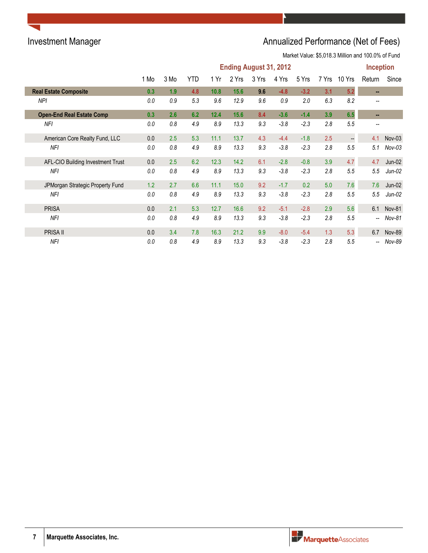# Investment Manager **Annualized Performance (Net of Fees)**

|                                   | <b>Ending August 31, 2012</b> |      |     |      |       |       |        |        |       |                          | <b>Inception</b>         |               |
|-----------------------------------|-------------------------------|------|-----|------|-------|-------|--------|--------|-------|--------------------------|--------------------------|---------------|
|                                   | 1 Mo                          | 3 Mo | YTD | 1 Yr | 2 Yrs | 3 Yrs | 4 Yrs  | 5 Yrs  | 7 Yrs | 10 Yrs                   | Return                   | Since         |
| <b>Real Estate Composite</b>      | 0.3                           | 1.9  | 4.8 | 10.8 | 15.6  | 9.6   | $-4.8$ | $-3.2$ | 3.1   | 5.2                      | н.                       |               |
| NPI                               | 0.0                           | 0.9  | 5.3 | 9.6  | 12.9  | 9.6   | 0.9    | 2.0    | 6.3   | 8.2                      |                          |               |
| <b>Open-End Real Estate Comp</b>  | 0.3                           | 2.6  | 6.2 | 12.4 | 15.6  | 8.4   | $-3.6$ | $-1.4$ | 3.9   | 6.5                      | $\sim$                   |               |
| NFI                               | 0.0                           | 0.8  | 4.9 | 8.9  | 13.3  | 9.3   | $-3.8$ | $-2.3$ | 2.8   | 5.5                      | $\overline{\phantom{a}}$ |               |
| American Core Realty Fund, LLC    | 0.0                           | 2.5  | 5.3 | 11.1 | 13.7  | 4.3   | $-4.4$ | $-1.8$ | 2.5   | $\overline{\phantom{a}}$ | 4.1                      | $Nov-03$      |
| NFI                               | 0.0                           | 0.8  | 4.9 | 8.9  | 13.3  | 9.3   | $-3.8$ | $-2.3$ | 2.8   | 5.5                      | 5.1                      | $Nov-03$      |
| AFL-CIO Building Investment Trust | 0.0                           | 2.5  | 6.2 | 12.3 | 14.2  | 6.1   | $-2.8$ | $-0.8$ | 3.9   | 4.7                      | 4.7                      | $Jun-02$      |
| NFI                               | 0.0                           | 0.8  | 4.9 | 8.9  | 13.3  | 9.3   | $-3.8$ | $-2.3$ | 2.8   | 5.5                      | 5.5                      | $Jun-02$      |
| JPMorgan Strategic Property Fund  | 1.2                           | 2.7  | 6.6 | 11.1 | 15.0  | 9.2   | $-1.7$ | 0.2    | 5.0   | 7.6                      | 7.6                      | $Jun-02$      |
| NFI                               | 0.0                           | 0.8  | 4.9 | 8.9  | 13.3  | 9.3   | $-3.8$ | $-2.3$ | 2.8   | 5.5                      | 5.5                      | $Jun-02$      |
| <b>PRISA</b>                      | 0.0                           | 2.1  | 5.3 | 12.7 | 16.6  | 9.2   | $-5.1$ | $-2.8$ | 2.9   | 5.6                      |                          | 6.1 Nov-81    |
| <b>NFI</b>                        | 0.0                           | 0.8  | 4.9 | 8.9  | 13.3  | 9.3   | $-3.8$ | $-2.3$ | 2.8   | 5.5                      | $\overline{\phantom{a}}$ | Nov-81        |
| PRISA II                          | 0.0                           | 3.4  | 7.8 | 16.3 | 21.2  | 9.9   | $-8.0$ | $-5.4$ | 1.3   | 5.3                      | 6.7                      | <b>Nov-89</b> |
| NFI                               | 0.0                           | 0.8  | 4.9 | 8.9  | 13.3  | 9.3   | $-3.8$ | $-2.3$ | 2.8   | 5.5                      | $\overline{\phantom{a}}$ | Nov-89        |